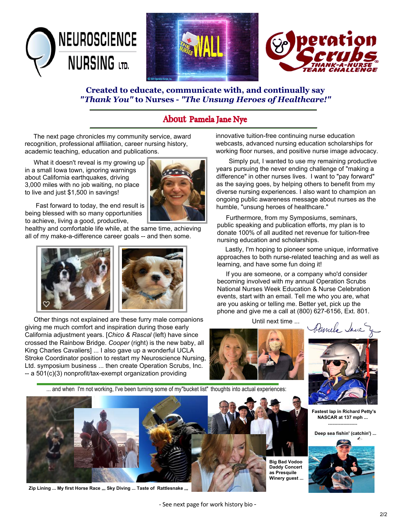

#### **Created to educate, communicate with, and continually say** *"Thank You"* **to Nurses -** *"The Unsung Heroes of Healthcare!"*

### About Pamela Jane Nye

The next page chronicles my community service, award recognition, professional affiliation, career nursing history, academic teaching, education and publications.

 What it doesn't reveal is my growing up in a small Iowa town, ignoring warnings about California earthquakes, driving 3,000 miles with no job waiting, no place to live and just \$1,500 in savings!



 Fast forward to today, the end result is being blessed with so many opportunities to achieve, living a good, productive,

healthy and comfortable life while, at the same time, achieving all of my make-a-difference career goals -- and then some.



 Other things not explained are these furry male companions giving me much comfort and inspiration during those early California adjustment years. [*Chico & Rascal* (left) have since crossed the Rainbow Bridge. *Cooper* (right) is the new baby, all King Charles Cavaliers] ... I also gave up a wonderful UCLA Stroke Coordinator position to restart my Neuroscience Nursing, Ltd. symposium business ... then create Operation Scrubs, Inc. -- a 501(c)(3) nonprofit/tax-exempt organization providing

innovative tuition-free continuing nurse education webcasts, advanced nursing education scholarships for working floor nurses, and positive nurse image advocacy.

 Simply put, I wanted to use my remaining productive years pursuing the never ending challenge of "making a difference" in other nurses lives. I want to "pay forward" as the saying goes, by helping others to benefit from my diverse nursing experiences. I also want to champion an ongoing public awareness message about nurses as the humble, "unsung heroes of healthcare."

 Furthermore, from my Symposiums, seminars, public speaking and publication efforts, my plan is to donate 100% of all audited net revenue for tuition-free nursing education and scholarships.

 Lastly, I'm hoping to pioneer some unique, informative approaches to both nurse-related teaching and as well as learning, and have some fun doing it!

 If you are someone, or a company who'd consider becoming involved with my annual Operation Scrubs National Nurses Week Education & Nurse Celebration events, start with an email. Tell me who you are, what are you asking or telling me. Better yet, pick up the phone and give me a call at (800) 627-6156, Ext. 801.

Until next time ...



... and when I'm not working, I've been turning some of my"bucket list" thoughts into actual experiences:



**Zip Lining ... My first Horse Race ,,, Sky Diving ... Taste of Rattlesnake ,,,**

**Big Bad Vodoo Daddy Concert** 

amela Jane



**Fastest lap in Richard Petty's NASCAR at 137 mph ...** -------------------

**Deep sea fishin' (catchin') ...**

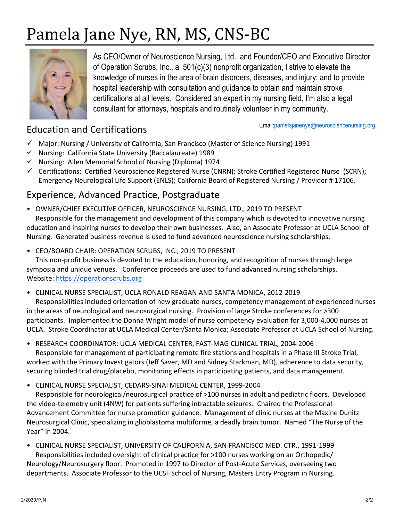# Pamela Jane Nye, RN, MS, CNS-BC



As CEO/Owner of Neuroscience Nursing, Ltd., and Founder/CEO and Executive Director of Operation Scrubs, Inc., a 501(c)(3) nonprofit organization, I strive to elevate the knowledge of nurses in the area of brain disorders, diseases, and injury; and to provide hospital leadership with consultation and guidance to obtain and maintain stroke certifications at all levels. Considered an expert in my nursing field, I'm also a legal consultant for attorneys, hospitals and routinely volunteer in my community.

## Education and Certifications

Email[:pamelajanenye@neurosciencenursing.org](http://www.neurosciencenursing.org/)

- $\checkmark$  Major: Nursing / University of California, San Francisco (Master of Science Nursing) 1991
- $\checkmark$  Nursing: California State University (Baccalaureate) 1989
- $\checkmark$  Nursing: Allen Memorial School of Nursing (Diploma) 1974
- $\checkmark$  Certifications: Certified Neuroscience Registered Nurse (CNRN); Stroke Certified Registered Nurse (SCRN); Emergency Neurological Life Support (ENLS); California Board of Registered Nursing / Provider # 17106.

## Experience, Advanced Practice, Postgraduate

• OWNER/CHIEF EXECUTIVE OFFICER, NEUROSCIENCE NURSING, LTD., 2019 TO PRESENT

Responsible for the management and development of this company which is devoted to innovative nursing education and inspiring nurses to develop their own businesses. Also, an Associate Professor at UCLA School of Nursing. Generated business revenue is used to fund advanced neuroscience nursing scholarships.

• CEO/BOARD CHAIR: OPERATION SCRUBS, INC., 2019 TO PRESENT

This non-profit business is devoted to the education, honoring, and recognition of nurses through large symposia and unique venues. Conference proceeds are used to fund advanced nursing scholarships. Website: [https://operationscrubs.org](https://operationscrubs.org/)

• CLINICAL NURSE SPECIALIST, UCLA RONALD REAGAN AND SANTA MONICA, 2012-2019

Responsibilities included orientation of new graduate nurses, competency management of experienced nurses in the areas of neurological and neurosurgical nursing. Provision of large Stroke conferences for >300 participants. Implemented the Donna Wright model of nurse competency evaluation for 3,000-4,000 nurses at UCLA. Stroke Coordinator at UCLA Medical Center/Santa Monica; Associate Professor at UCLA School of Nursing.

• RESEARCH COORDINATOR: UCLA MEDICAL CENTER, FAST-MAG CLINICAL TRIAL, 2004-2006

Responsible for management of participating remote fire stations and hospitals in a Phase III Stroke Trial, worked with the Primary Investigators (Jeff Saver, MD and Sidney Starkman, MD), adherence to data security, securing blinded trial drug/placebo, monitoring effects in participating patients, and data management.

• CLINICAL NURSE SPECIALIST, CEDARS-SINAI MEDICAL CENTER, 1999-2004

Responsible for neurological/neurosurgical practice of >100 nurses in adult and pediatric floors. Developed the video-telemetry unit (4NW) for patients suffering intractable seizures. Chaired the Professional Advancement Committee for nurse promotion guidance. Management of clinic nurses at the Maxine Dunitz Neurosurgical Clinic, specializing in glioblastoma multiforme, a deadly brain tumor. Named "The Nurse of the Year" in 2004.

• CLINICAL NURSE SPECIALIST, UNIVERSITY OF CALIFORNIA, SAN FRANCISCO MED. CTR., 1991-1999 Responsibilities included oversight of clinical practice for >100 nurses working on an Orthopedic/ Neurology/Neurosurgery floor. Promoted in 1997 to Director of Post-Acute Services, overseeing two departments. Associate Professor to the UCSF School of Nursing, Masters Entry Program in Nursing.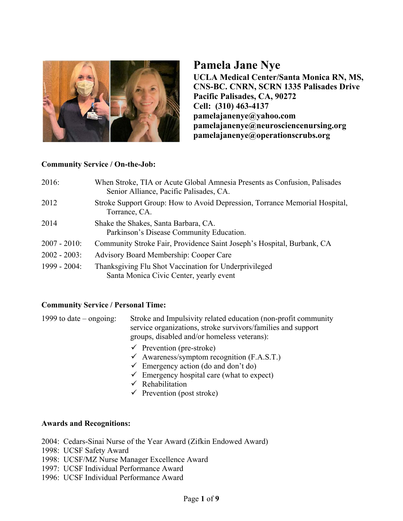

## **Pamela Jane Nye**

**UCLA Medical Center/Santa Monica RN, MS, CNS-BC. CNRN, SCRN 1335 Palisades Drive Pacific Palisades, CA, 90272 Cell: (310) 463-4137 pamelajanenye@yahoo.com pamelajanenye@neurosciencenursing.org pamelajanenye@operationscrubs.org**

#### **Community Service / On-the-Job:**

| 2016:           | When Stroke, TIA or Acute Global Amnesia Presents as Confusion, Palisades<br>Senior Alliance, Pacific Palisades, CA. |
|-----------------|----------------------------------------------------------------------------------------------------------------------|
| 2012            | Stroke Support Group: How to Avoid Depression, Torrance Memorial Hospital,<br>Torrance, CA.                          |
| 2014            | Shake the Shakes, Santa Barbara, CA.<br>Parkinson's Disease Community Education.                                     |
| $2007 - 2010$ : | Community Stroke Fair, Providence Saint Joseph's Hospital, Burbank, CA                                               |
| $2002 - 2003$ : | Advisory Board Membership: Cooper Care                                                                               |
| $1999 - 2004$ : | Thanksgiving Flu Shot Vaccination for Underprivileged<br>Santa Monica Civic Center, yearly event                     |

#### **Community Service / Personal Time:**

1999 to date – ongoing: Stroke and Impulsivity related education (non-profit community service organizations, stroke survivors/families and support groups, disabled and/or homeless veterans):

- $\checkmark$  Prevention (pre-stroke)
- $\checkmark$  Awareness/symptom recognition (F.A.S.T.)
- $\checkmark$  Emergency action (do and don't do)
- $\checkmark$  Emergency hospital care (what to expect)
- $\checkmark$  Rehabilitation
- $\checkmark$  Prevention (post stroke)

#### **Awards and Recognitions:**

- 2004: Cedars-Sinai Nurse of the Year Award (Zifkin Endowed Award)
- 1998: UCSF Safety Award
- 1998: UCSF/MZ Nurse Manager Excellence Award
- 1997: UCSF Individual Performance Award
- 1996: UCSF Individual Performance Award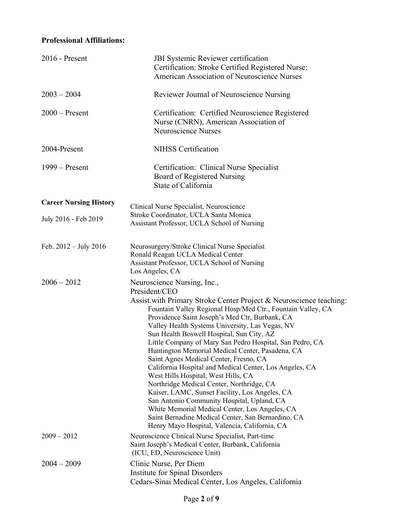#### **Professional Affiliations:**

| 2016 - Present                | <b>JBI</b> Systemic Reviewer certification<br>Certification: Stroke Certified Registered Nurse:<br><b>American Association of Neuroscience Nurses</b>                                                                                                                                                                                                                                                                                                                                                                                                                                                                                                                                                                                                                                                                                                                                                 |
|-------------------------------|-------------------------------------------------------------------------------------------------------------------------------------------------------------------------------------------------------------------------------------------------------------------------------------------------------------------------------------------------------------------------------------------------------------------------------------------------------------------------------------------------------------------------------------------------------------------------------------------------------------------------------------------------------------------------------------------------------------------------------------------------------------------------------------------------------------------------------------------------------------------------------------------------------|
| $2003 - 2004$                 | Reviewer Journal of Neuroscience Nursing                                                                                                                                                                                                                                                                                                                                                                                                                                                                                                                                                                                                                                                                                                                                                                                                                                                              |
| $2000$ – Present              | Certification: Certified Neuroscience Registered<br>Nurse (CNRN), American Association of<br><b>Neuroscience Nurses</b>                                                                                                                                                                                                                                                                                                                                                                                                                                                                                                                                                                                                                                                                                                                                                                               |
| 2004-Present                  | <b>NIHSS</b> Certification                                                                                                                                                                                                                                                                                                                                                                                                                                                                                                                                                                                                                                                                                                                                                                                                                                                                            |
| $1999 -$ Present              | Certification: Clinical Nurse Specialist<br>Board of Registered Nursing<br>State of California                                                                                                                                                                                                                                                                                                                                                                                                                                                                                                                                                                                                                                                                                                                                                                                                        |
| <b>Career Nursing History</b> | Clinical Nurse Specialist, Neuroscience                                                                                                                                                                                                                                                                                                                                                                                                                                                                                                                                                                                                                                                                                                                                                                                                                                                               |
| July 2016 - Feb 2019          | Stroke Coordinator, UCLA Santa Monica<br>Assistant Professor, UCLA School of Nursing                                                                                                                                                                                                                                                                                                                                                                                                                                                                                                                                                                                                                                                                                                                                                                                                                  |
| Feb. $2012 - July 2016$       | Neurosurgery/Stroke Clinical Nurse Specialist<br>Ronald Reagan UCLA Medical Center<br>Assistant Professor, UCLA School of Nursing<br>Los Angeles, CA                                                                                                                                                                                                                                                                                                                                                                                                                                                                                                                                                                                                                                                                                                                                                  |
| $2006 - 2012$                 | Neuroscience Nursing, Inc.,<br>President/CEO<br>Assist.with Primary Stroke Center Project & Neuroscience teaching:<br>Fountain Valley Regional Hosp/Med Ctr., Fountain Valley, CA<br>Providence Saint Joseph's Med Ctr, Burbank, CA<br>Valley Health Systems University, Las Vegas, NV<br>Sun Health Boswell Hospital, Sun City, AZ<br>Little Company of Mary San Pedro Hospital, San Pedro, CA<br>Huntington Memorial Medical Center, Pasadena, CA<br>Saint Agnes Medical Center, Fresno, CA<br>California Hospital and Medical Center, Los Angeles, CA<br>West Hills Hospital, West Hills, CA<br>Northridge Medical Center, Northridge, CA<br>Kaiser, LAMC, Sunset Facility, Los Angeles, CA<br>San Antonio Community Hospital, Upland, CA<br>White Memorial Medical Center, Los Angeles, CA<br>Saint Bernadine Medical Center, San Bernardino, CA<br>Henry Mayo Hospital, Valencia, California, CA |
| $2009 - 2012$                 | Neuroscience Clinical Nurse Specialist, Part-time<br>Saint Joseph's Medical Center, Burbank, California<br>(ICU, ED, Neuroscience Unit)                                                                                                                                                                                                                                                                                                                                                                                                                                                                                                                                                                                                                                                                                                                                                               |
| $2004 - 2009$                 | Clinic Nurse, Per Diem<br>Institute for Spinal Disorders<br>Cedars-Sinai Medical Center, Los Angeles, California                                                                                                                                                                                                                                                                                                                                                                                                                                                                                                                                                                                                                                                                                                                                                                                      |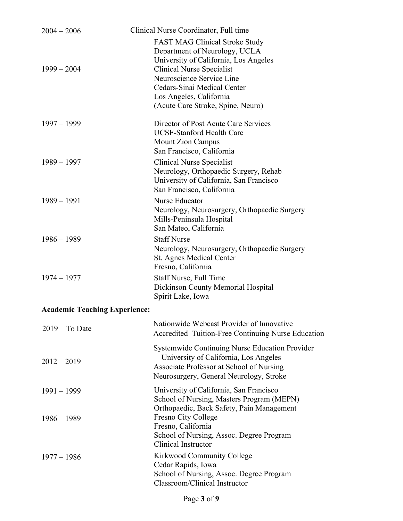| $2004 - 2006$                        | Clinical Nurse Coordinator, Full time                                                                                                                                                                                                                                           |
|--------------------------------------|---------------------------------------------------------------------------------------------------------------------------------------------------------------------------------------------------------------------------------------------------------------------------------|
| $1999 - 2004$                        | <b>FAST MAG Clinical Stroke Study</b><br>Department of Neurology, UCLA<br>University of California, Los Angeles<br><b>Clinical Nurse Specialist</b><br>Neuroscience Service Line<br>Cedars-Sinai Medical Center<br>Los Angeles, California<br>(Acute Care Stroke, Spine, Neuro) |
| $1997 - 1999$                        | Director of Post Acute Care Services<br><b>UCSF-Stanford Health Care</b><br><b>Mount Zion Campus</b><br>San Francisco, California                                                                                                                                               |
| $1989 - 1997$                        | Clinical Nurse Specialist<br>Neurology, Orthopaedic Surgery, Rehab<br>University of California, San Francisco<br>San Francisco, California                                                                                                                                      |
| $1989 - 1991$                        | Nurse Educator<br>Neurology, Neurosurgery, Orthopaedic Surgery<br>Mills-Peninsula Hospital<br>San Mateo, California                                                                                                                                                             |
| $1986 - 1989$                        | <b>Staff Nurse</b><br>Neurology, Neurosurgery, Orthopaedic Surgery<br>St. Agnes Medical Center<br>Fresno, California                                                                                                                                                            |
| $1974 - 1977$                        | Staff Nurse, Full Time<br>Dickinson County Memorial Hospital<br>Spirit Lake, Iowa                                                                                                                                                                                               |
| <b>Academic Teaching Experience:</b> |                                                                                                                                                                                                                                                                                 |
| $2019 - To Date$                     | Nationwide Webcast Provider of Innovative<br>Accredited Tuition-Free Continuing Nurse Education                                                                                                                                                                                 |
| $2012 - 2019$                        | Systemwide Continuing Nurse Education Provider<br>University of California, Los Angeles<br>Associate Professor at School of Nursing<br>Neurosurgery, General Neurology, Stroke                                                                                                  |
| $1991 - 1999$                        | University of California, San Francisco<br>School of Nursing, Masters Program (MEPN)<br>Orthopaedic, Back Safety, Pain Management                                                                                                                                               |
| $1986 - 1989$                        | Fresno City College<br>Fresno, California<br>School of Nursing, Assoc. Degree Program<br><b>Clinical Instructor</b>                                                                                                                                                             |
| $1977 - 1986$                        | Kirkwood Community College<br>Cedar Rapids, Iowa<br>School of Nursing, Assoc. Degree Program<br>Classroom/Clinical Instructor                                                                                                                                                   |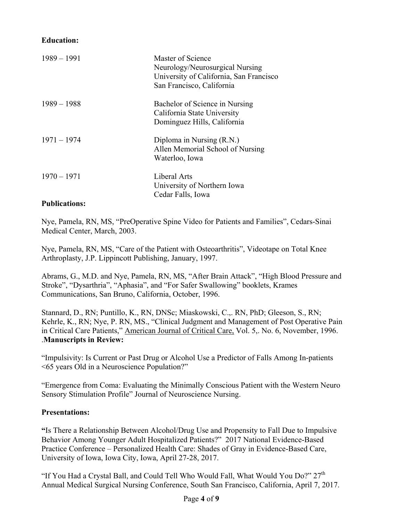#### **Education:**

| $1989 - 1991$        | Master of Science<br>Neurology/Neurosurgical Nursing<br>University of California, San Francisco<br>San Francisco, California |
|----------------------|------------------------------------------------------------------------------------------------------------------------------|
| $1989 - 1988$        | Bachelor of Science in Nursing<br>California State University<br>Dominguez Hills, California                                 |
| $1971 - 1974$        | Diploma in Nursing (R.N.)<br>Allen Memorial School of Nursing<br>Waterloo, Iowa                                              |
| $1970 - 1971$        | Liberal Arts<br>University of Northern Iowa<br>Cedar Falls, Iowa                                                             |
| <b>Publications:</b> |                                                                                                                              |

Nye, Pamela, RN, MS, "PreOperative Spine Video for Patients and Families", Cedars-Sinai Medical Center, March, 2003.

Nye, Pamela, RN, MS, "Care of the Patient with Osteoarthritis", Videotape on Total Knee Arthroplasty, J.P. Lippincott Publishing, January, 1997.

Abrams, G., M.D. and Nye, Pamela, RN, MS, "After Brain Attack", "High Blood Pressure and Stroke", "Dysarthria", "Aphasia", and "For Safer Swallowing" booklets, Krames Communications, San Bruno, California, October, 1996.

Stannard, D., RN; Puntillo, K., RN, DNSc; Miaskowski, C.,. RN, PhD; Gleeson, S., RN; Kehrle, K., RN; Nye, P. RN, MS., "Clinical Judgment and Management of Post Operative Pain in Critical Care Patients," American Journal of Critical Care, Vol. 5,. No. 6, November, 1996. .**Manuscripts in Review:** 

"Impulsivity: Is Current or Past Drug or Alcohol Use a Predictor of Falls Among In-patients <65 years Old in a Neuroscience Population?"

"Emergence from Coma: Evaluating the Minimally Conscious Patient with the Western Neuro Sensory Stimulation Profile" Journal of Neuroscience Nursing.

#### **Presentations:**

**"**Is There a Relationship Between Alcohol/Drug Use and Propensity to Fall Due to Impulsive Behavior Among Younger Adult Hospitalized Patients?" 2017 National Evidence-Based Practice Conference – Personalized Health Care: Shades of Gray in Evidence-Based Care, University of Iowa, Iowa City, Iowa, April 27-28, 2017.

"If You Had a Crystal Ball, and Could Tell Who Would Fall, What Would You Do?" 27<sup>th</sup> Annual Medical Surgical Nursing Conference, South San Francisco, California, April 7, 2017.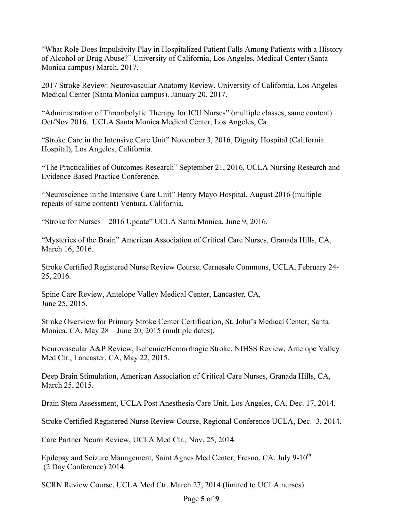"What Role Does Impulsivity Play in Hospitalized Patient Falls Among Patients with a History of Alcohol or Drug Abuse?" University of California, Los Angeles, Medical Center (Santa Monica campus) March, 2017.

2017 Stroke Review: Neurovascular Anatomy Review. University of California, Los Angeles Medical Center (Santa Monica campus). January 20, 2017.

"Administration of Thrombolytic Therapy for ICU Nurses" (multiple classes, same content) Oct/Nov 2016. UCLA Santa Monica Medical Center, Los Angeles, Ca.

"Stroke Care in the Intensive Care Unit" November 3, 2016, Dignity Hospital (California Hospital), Los Angeles, California.

**"**The Practicalities of Outcomes Research" September 21, 2016, UCLA Nursing Research and Evidence Based Practice Conference.

"Neuroscience in the Intensive Care Unit" Henry Mayo Hospital, August 2016 (multiple repeats of same content) Ventura, California.

"Stroke for Nurses – 2016 Update" UCLA Santa Monica, June 9, 2016.

"Mysteries of the Brain" American Association of Critical Care Nurses, Granada Hills, CA, March 16, 2016.

Stroke Certified Registered Nurse Review Course, Carnesale Commons, UCLA, February 24- 25, 2016.

Spine Care Review, Antelope Valley Medical Center, Lancaster, CA, June 25, 2015.

Stroke Overview for Primary Stroke Center Certification, St. John's Medical Center, Santa Monica, CA, May 28 – June 20, 2015 (multiple dates).

Neurovascular A&P Review, Ischemic/Hemorrhagic Stroke, NIHSS Review, Antelope Valley Med Ctr., Lancaster, CA, May 22, 2015.

Deep Brain Stimulation, American Association of Critical Care Nurses, Granada Hills, CA, March 25, 2015.

Brain Stem Assessment, UCLA Post Anesthesia Care Unit, Los Angeles, CA. Dec. 17, 2014.

Stroke Certified Registered Nurse Review Course, Regional Conference UCLA, Dec. 3, 2014.

Care Partner Neuro Review, UCLA Med Ctr., Nov. 25, 2014.

Epilepsy and Seizure Management, Saint Agnes Med Center, Fresno, CA. July 9-10<sup>th</sup> (2 Day Conference) 2014.

SCRN Review Course, UCLA Med Ctr. March 27, 2014 (limited to UCLA nurses)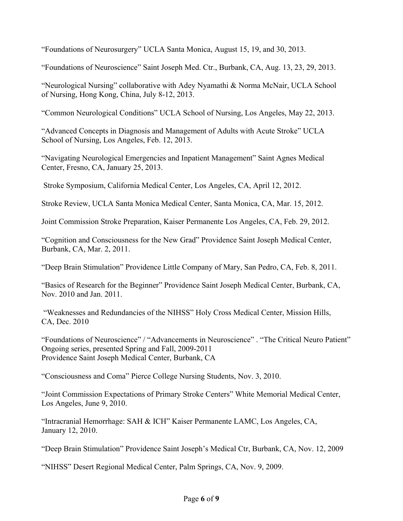"Foundations of Neurosurgery" UCLA Santa Monica, August 15, 19, and 30, 2013.

"Foundations of Neuroscience" Saint Joseph Med. Ctr., Burbank, CA, Aug. 13, 23, 29, 2013.

"Neurological Nursing" collaborative with Adey Nyamathi & Norma McNair, UCLA School of Nursing, Hong Kong, China, July 8-12, 2013.

"Common Neurological Conditions" UCLA School of Nursing, Los Angeles, May 22, 2013.

"Advanced Concepts in Diagnosis and Management of Adults with Acute Stroke" UCLA School of Nursing, Los Angeles, Feb. 12, 2013.

"Navigating Neurological Emergencies and Inpatient Management" Saint Agnes Medical Center, Fresno, CA, January 25, 2013.

Stroke Symposium, California Medical Center, Los Angeles, CA, April 12, 2012.

Stroke Review, UCLA Santa Monica Medical Center, Santa Monica, CA, Mar. 15, 2012.

Joint Commission Stroke Preparation, Kaiser Permanente Los Angeles, CA, Feb. 29, 2012.

"Cognition and Consciousness for the New Grad" Providence Saint Joseph Medical Center, Burbank, CA, Mar. 2, 2011.

"Deep Brain Stimulation" Providence Little Company of Mary, San Pedro, CA, Feb. 8, 2011.

"Basics of Research for the Beginner" Providence Saint Joseph Medical Center, Burbank, CA, Nov. 2010 and Jan. 2011.

 "Weaknesses and Redundancies of the NIHSS" Holy Cross Medical Center, Mission Hills, CA, Dec. 2010

"Foundations of Neuroscience" / "Advancements in Neuroscience" . "The Critical Neuro Patient" Ongoing series, presented Spring and Fall, 2009-2011 Providence Saint Joseph Medical Center, Burbank, CA

"Consciousness and Coma" Pierce College Nursing Students, Nov. 3, 2010.

"Joint Commission Expectations of Primary Stroke Centers" White Memorial Medical Center, Los Angeles, June 9, 2010.

"Intracranial Hemorrhage: SAH & ICH" Kaiser Permanente LAMC, Los Angeles, CA, January 12, 2010.

"Deep Brain Stimulation" Providence Saint Joseph's Medical Ctr, Burbank, CA, Nov. 12, 2009

"NIHSS" Desert Regional Medical Center, Palm Springs, CA, Nov. 9, 2009.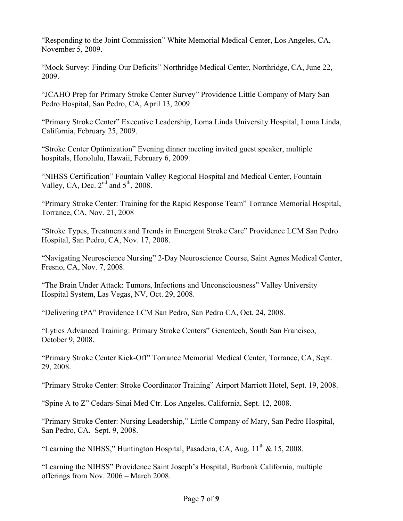"Responding to the Joint Commission" White Memorial Medical Center, Los Angeles, CA, November 5, 2009.

"Mock Survey: Finding Our Deficits" Northridge Medical Center, Northridge, CA, June 22, 2009.

"JCAHO Prep for Primary Stroke Center Survey" Providence Little Company of Mary San Pedro Hospital, San Pedro, CA, April 13, 2009

"Primary Stroke Center" Executive Leadership, Loma Linda University Hospital, Loma Linda, California, February 25, 2009.

"Stroke Center Optimization" Evening dinner meeting invited guest speaker, multiple hospitals, Honolulu, Hawaii, February 6, 2009.

"NIHSS Certification" Fountain Valley Regional Hospital and Medical Center, Fountain Valley, CA, Dec.  $2<sup>nd</sup>$  and  $5<sup>th</sup>$ , 2008.

"Primary Stroke Center: Training for the Rapid Response Team" Torrance Memorial Hospital, Torrance, CA, Nov. 21, 2008

"Stroke Types, Treatments and Trends in Emergent Stroke Care" Providence LCM San Pedro Hospital, San Pedro, CA, Nov. 17, 2008.

"Navigating Neuroscience Nursing" 2-Day Neuroscience Course, Saint Agnes Medical Center, Fresno, CA, Nov. 7, 2008.

"The Brain Under Attack: Tumors, Infections and Unconsciousness" Valley University Hospital System, Las Vegas, NV, Oct. 29, 2008.

"Delivering tPA" Providence LCM San Pedro, San Pedro CA, Oct. 24, 2008.

"Lytics Advanced Training: Primary Stroke Centers" Genentech, South San Francisco, October 9, 2008.

"Primary Stroke Center Kick-Off" Torrance Memorial Medical Center, Torrance, CA, Sept. 29, 2008.

"Primary Stroke Center: Stroke Coordinator Training" Airport Marriott Hotel, Sept. 19, 2008.

"Spine A to Z" Cedars-Sinai Med Ctr. Los Angeles, California, Sept. 12, 2008.

"Primary Stroke Center: Nursing Leadership," Little Company of Mary, San Pedro Hospital, San Pedro, CA. Sept. 9, 2008.

"Learning the NIHSS," Huntington Hospital, Pasadena, CA, Aug.  $11<sup>th</sup>$  & 15, 2008.

"Learning the NIHSS" Providence Saint Joseph's Hospital, Burbank California, multiple offerings from Nov. 2006 – March 2008.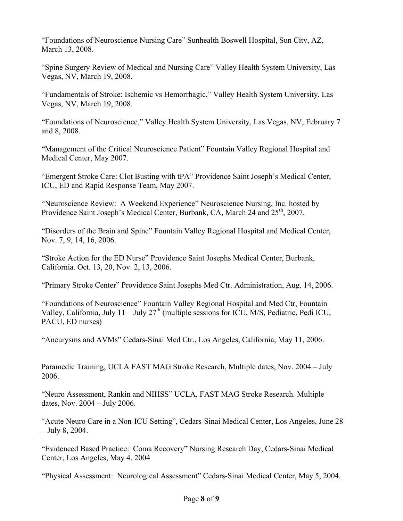"Foundations of Neuroscience Nursing Care" Sunhealth Boswell Hospital, Sun City, AZ, March 13, 2008.

"Spine Surgery Review of Medical and Nursing Care" Valley Health System University, Las Vegas, NV, March 19, 2008.

"Fundamentals of Stroke: Ischemic vs Hemorrhagic," Valley Health System University, Las Vegas, NV, March 19, 2008.

"Foundations of Neuroscience," Valley Health System University, Las Vegas, NV, February 7 and 8, 2008.

"Management of the Critical Neuroscience Patient" Fountain Valley Regional Hospital and Medical Center, May 2007.

"Emergent Stroke Care: Clot Busting with tPA" Providence Saint Joseph's Medical Center, ICU, ED and Rapid Response Team, May 2007.

"Neuroscience Review: A Weekend Experience" Neuroscience Nursing, Inc. hosted by Providence Saint Joseph's Medical Center, Burbank, CA, March 24 and  $25<sup>th</sup>$ , 2007.

"Disorders of the Brain and Spine" Fountain Valley Regional Hospital and Medical Center, Nov. 7, 9, 14, 16, 2006.

"Stroke Action for the ED Nurse" Providence Saint Josephs Medical Center, Burbank, California. Oct. 13, 20, Nov. 2, 13, 2006.

"Primary Stroke Center" Providence Saint Josephs Med Ctr. Administration, Aug. 14, 2006.

"Foundations of Neuroscience" Fountain Valley Regional Hospital and Med Ctr, Fountain Valley, California, July 11 – July  $27<sup>th</sup>$  (multiple sessions for ICU, M/S, Pediatric, Pedi ICU, PACU, ED nurses)

"Aneurysms and AVMs" Cedars-Sinai Med Ctr., Los Angeles, California, May 11, 2006.

Paramedic Training, UCLA FAST MAG Stroke Research, Multiple dates, Nov. 2004 – July 2006.

"Neuro Assessment, Rankin and NIHSS" UCLA, FAST MAG Stroke Research. Multiple dates, Nov. 2004 – July 2006.

"Acute Neuro Care in a Non-ICU Setting", Cedars-Sinai Medical Center, Los Angeles, June 28 – July 8, 2004.

"Evidenced Based Practice: Coma Recovery" Nursing Research Day, Cedars-Sinai Medical Center, Los Angeles, May 4, 2004

"Physical Assessment: Neurological Assessment" Cedars-Sinai Medical Center, May 5, 2004.